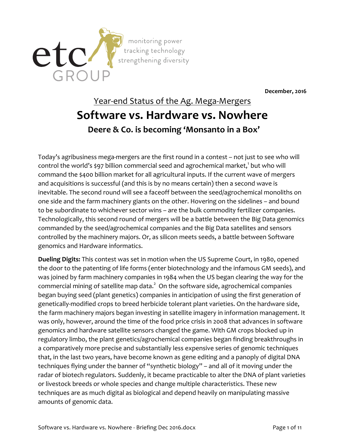

**December, 2016**

## Year-end Status of the Ag. Mega-Mergers **Software vs. Hardware vs. Nowhere Deere & Co. is becoming 'Monsanto in a Box'**

Today's agribusiness mega-mergers are the first round in a contest – not just to see who will control the world's \$97 billion commercial seed and agrochemical market,<sup>1</sup> but who will command the \$400 billion market for all agricultural inputs. If the current wave of mergers and acquisitions is successful (and this is by no means certain) then a second wave is inevitable. The second round will see a faceoff between the seed/agrochemical monoliths on one side and the farm machinery giants on the other. Hovering on the sidelines – and bound to be subordinate to whichever sector wins – are the bulk commodity fertilizer companies. Technologically, this second round of mergers will be a battle between the Big Data genomics commanded by the seed/agrochemical companies and the Big Data satellites and sensors controlled by the machinery majors. Or, as silicon meets seeds, a battle between Software genomics and Hardware informatics.

**Dueling Digits:** This contest was set in motion when the US Supreme Court, in 1980, opened the door to the patenting of life forms (enter biotechnology and the infamous GM seeds), and was joined by farm machinery companies in 1984 when the US began clearing the way for the commercial mining of satellite map data.<sup>2</sup> On the software side, agrochemical companies began buying seed (plant genetics) companies in anticipation of using the first generation of genetically-modified crops to breed herbicide tolerant plant varieties. On the hardware side, the farm machinery majors began investing in satellite imagery in information management. It was only, however, around the time of the food price crisis in 2008 that advances in software genomics and hardware satellite sensors changed the game. With GM crops blocked up in regulatory limbo, the plant genetics/agrochemical companies began finding breakthroughs in a comparatively more precise and substantially less expensive series of genomic techniques that, in the last two years, have become known as gene editing and a panoply of digital DNA techniques flying under the banner of "synthetic biology" – and all of it moving under the radar of biotech regulators. Suddenly, it became practicable to alter the DNA of plant varieties or livestock breeds or whole species and change multiple characteristics. These new techniques are as much digital as biological and depend heavily on manipulating massive amounts of genomic data.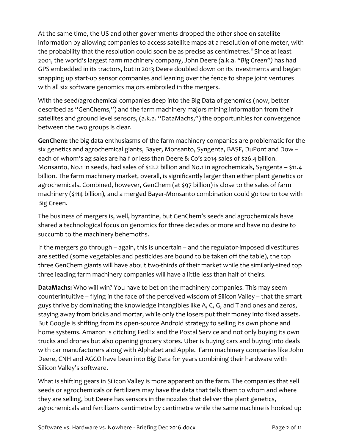At the same time, the US and other governments dropped the other shoe on satellite information by allowing companies to access satellite maps at a resolution of one meter, with the probability that the resolution could soon be as precise as centimetres.<sup>3</sup> Since at least 2001, the world's largest farm machinery company, John Deere *(*a.k.a. *"Big Green")* has had GPS embedded in its tractors, but in 2013 Deere doubled down on its investments and began snapping up start-up sensor companies and leaning over the fence to shape joint ventures with all six software genomics majors embroiled in the mergers.

With the seed/agrochemical companies deep into the Big Data of genomics (now, better described as "GenChems,") and the farm machinery majors mining information from their satellites and ground level sensors, (a.k.a. "DataMachs,") the opportunities for convergence between the two groups is clear.

**GenChem:** the big data enthusiasms of the farm machinery companies are problematic for the six genetics and agrochemical giants, Bayer, Monsanto, Syngenta, BASF, DuPont and Dow – each of whom's ag sales are half or less than Deere & Co's 2014 sales of \$26.4 billion. Monsanto, No.1 in seeds, had sales of \$12.2 billion and No.1 in agrochemicals, Syngenta – \$11.4 billion. The farm machinery market, overall, is significantly larger than either plant genetics or agrochemicals. Combined, however, GenChem (at \$97 billion) is close to the sales of farm machinery (\$114 billion), and a merged Bayer-Monsanto combination could go toe to toe with Big Green.

The business of mergers is, well, byzantine, but GenChem's seeds and agrochemicals have shared a technological focus on genomics for three decades or more and have no desire to succumb to the machinery behemoths.

If the mergers go through – again, this is uncertain – and the regulator-imposed divestitures are settled (some vegetables and pesticides are bound to be taken off the table), the top three GenChem giants will have about two-thirds of their market while the similarly-sized top three leading farm machinery companies will have a little less than half of theirs.

**DataMachs:** Who will win? You have to bet on the machinery companies. This may seem counterintuitive – flying in the face of the perceived wisdom of Silicon Valley – that the smart guys thrive by dominating the knowledge intangibles like A, C, G, and T and ones and zeros, staying away from bricks and mortar, while only the losers put their money into fixed assets. But Google is shifting from its open-source Android strategy to selling its own phone and home systems. Amazon is ditching FedEx and the Postal Service and not only buying its own trucks and drones but also opening grocery stores. Uber is buying cars and buying into deals with car manufacturers along with Alphabet and Apple. Farm machinery companies like John Deere, CNH and AGCO have been into Big Data for years combining their hardware with Silicon Valley's software.

What is shifting gears in Silicon Valley is more apparent on the farm. The companies that sell seeds or agrochemicals or fertilizers may have the data that tells them to whom and where they are selling, but Deere has sensors in the nozzles that deliver the plant genetics, agrochemicals and fertilizers centimetre by centimetre while the same machine is hooked up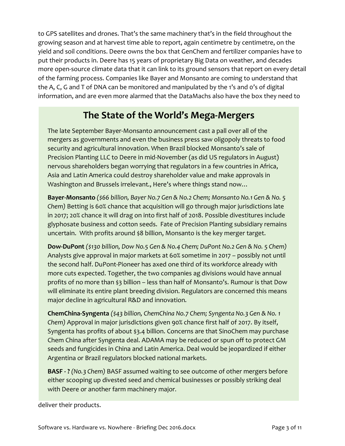to GPS satellites and drones. That's the same machinery that's in the field throughout the growing season and at harvest time able to report, again centimetre by centimetre, on the yield and soil conditions. Deere owns the box that GenChem and fertilizer companies have to put their products in. Deere has 15 years of proprietary Big Data on weather, and decades more open-source climate data that it can link to its ground sensors that report on every detail of the farming process. Companies like Bayer and Monsanto are coming to understand that the A, C, G and T of DNA can be monitored and manipulated by the 1's and 0's of digital information, and are even more alarmed that the DataMachs also have the box they need to

## **The State of the World's Mega-Mergers**

The late September Bayer-Monsanto announcement cast a pall over all of the mergers as governments and even the business press saw oligopoly threats to food security and agricultural innovation. When Brazil blocked Monsanto's sale of Precision Planting LLC to Deere in mid-November (as did US regulators in August) nervous shareholders began worrying that regulators in a few countries in Africa, Asia and Latin America could destroy shareholder value and make approvals in Washington and Brussels irrelevant., Here's where things stand now…

**Bayer-Monsanto** *(\$66 billion, Bayer No.7 Gen & No.2 Chem; Monsanto No.1 Gen & No. 5 Chem)* Betting is 60% chance that acquisition will go through major jurisdictions late in 2017; 20% chance it will drag on into first half of 2018. Possible divestitures include glyphosate business and cotton seeds. Fate of Precision Planting subsidiary remains uncertain. With profits around \$8 billion, Monsanto is the key merger target.

**Dow-DuPont** *(\$130 billion, Dow No.5 Gen & No.4 Chem; DuPont No.2 Gen & No. 5 Chem)* Analysts give approval in major markets at 60% sometime in 2017 – possibly not until the second half. DuPont-Pioneer has axed one third of its workforce already with more cuts expected. Together, the two companies ag divisions would have annual profits of no more than \$3 billion – less than half of Monsanto's. Rumour is that Dow will eliminate its entire plant breeding division. Regulators are concerned this means major decline in agricultural R&D and innovation.

**ChemChina-Syngenta** *(\$43 billion, ChemChina No.7 Chem; Syngenta No.3 Gen & No. 1 Chem)* Approval in major jurisdictions given 90% chance first half of 2017. By itself, Syngenta has profits of about \$3.4 billion. Concerns are that SinoChem may purchase Chem China after Syngenta deal. ADAMA may be reduced or spun off to protect GM seeds and fungicides in China and Latin America. Deal would be jeopardized if either Argentina or Brazil regulators blocked national markets.

**BASF - ?** *(No.3 Chem)* BASF assumed waiting to see outcome of other mergers before either scooping up divested seed and chemical businesses or possibly striking deal with Deere or another farm machinery major.

deliver their products.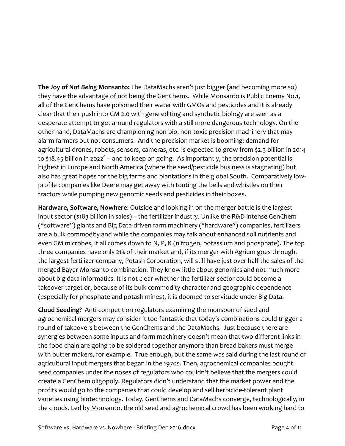**The Joy of** *Not Being* **Monsanto:** The DataMachs aren't just bigger (and becoming more so) they have the advantage of not being the GenChems. While Monsanto is Public Enemy No.1, all of the GenChems have poisoned their water with GMOs and pesticides and it is already clear that their push into GM 2.0 with gene editing and synthetic biology are seen as a desperate attempt to get around regulators with a still more dangerous technology. On the other hand, DataMachs are championing non-bio, non-toxic precision machinery that may alarm farmers but not consumers. And the precision market is booming: demand for agricultural drones, robots, sensors, cameras, etc. is expected to grow from \$2.3 billion in 2014 to \$18.45 billion in 2022<sup>4</sup> – and to keep on going. As importantly, the precision potential is highest in Europe and North America (where the seed/pesticide business is stagnating) but also has great hopes for the big farms and plantations in the global South. Comparatively lowprofile companies like Deere may get away with touting the bells and whistles on their tractors while pumping new genomic seeds and pesticides in their boxes.

**Hardware, Software, Nowhere**: Outside and looking in on the merger battle is the largest input sector (\$183 billion in sales) – the fertilizer industry. Unlike the R&D-intense GenChem ("software") giants and Big Data-driven farm machinery ("hardware") companies, fertilizers are a bulk commodity and while the companies may talk about enhanced soil nutrients and even GM microbes, it all comes down to N, P, K (nitrogen, potassium and phosphate). The top three companies have only 21% of their market and, if its merger with Agrium goes through, the largest fertilizer company, Potash Corporation, will still have just over half the sales of the merged Bayer-Monsanto combination. They know little about genomics and not much more about big data informatics. It is not clear whether the fertilizer sector could become a takeover target or, because of its bulk commodity character and geographic dependence (especially for phosphate and potash mines), it is doomed to servitude under Big Data.

**Cloud Seeding?** Anti-competition regulators examining the monsoon of seed and agrochemical mergers may consider it too fantastic that today's combinations could trigger a round of takeovers between the GenChems and the DataMachs. Just because there are synergies between some inputs and farm machinery doesn't mean that two different links in the food chain are going to be soldered together anymore than bread bakers must merge with butter makers, for example. True enough, but the same was said during the last round of agricultural input mergers that began in the 1970s. Then, agrochemical companies bought seed companies under the noses of regulators who couldn't believe that the mergers could create a GenChem oligopoly. Regulators didn't understand that the market power and the profits would go to the companies that could develop and sell herbicide-tolerant plant varieties using biotechnology. Today, GenChems and DataMachs converge, technologically, in the clouds. Led by Monsanto, the old seed and agrochemical crowd has been working hard to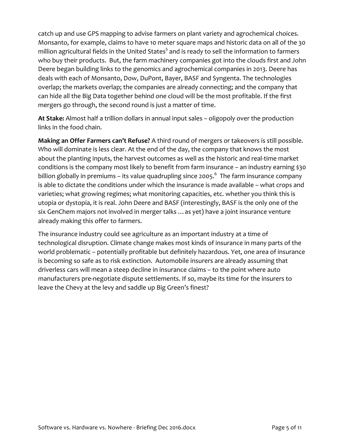catch up and use GPS mapping to advise farmers on plant variety and agrochemical choices. Monsanto, for example, claims to have 10 meter square maps and historic data on all of the 30 million agricultural fields in the United States<sup>5</sup> and is ready to sell the information to farmers who buy their products. But, the farm machinery companies got into the clouds first and John Deere began building links to the genomics and agrochemical companies in 2013. Deere has deals with each of Monsanto, Dow, DuPont, Bayer, BASF and Syngenta. The technologies overlap; the markets overlap; the companies are already connecting; and the company that can hide all the Big Data together behind one cloud will be the most profitable. If the first mergers go through, the second round is just a matter of time.

**At Stake:** Almost half a trillion dollars in annual input sales – oligopoly over the production links in the food chain.

**Making an Offer Farmers can't Refuse?** A third round of mergers or takeovers is still possible. Who will dominate is less clear. At the end of the day, the company that knows the most about the planting inputs, the harvest outcomes as well as the historic and real-time market conditions is the company most likely to benefit from farm insurance – an industry earning \$30 billion globally in premiums – its value quadrupling since 2005. $^6$  The farm insurance company is able to dictate the conditions under which the insurance is made available – what crops and varieties; what growing regimes; what monitoring capacities, etc. whether you think this is utopia or dystopia, it is real. John Deere and BASF (interestingly, BASF is the only one of the six GenChem majors not involved in merger talks …as yet) have a joint insurance venture already making this offer to farmers.

The insurance industry could see agriculture as an important industry at a time of technological disruption. Climate change makes most kinds of insurance in many parts of the world problematic – potentially profitable but definitely hazardous. Yet, one area of insurance is becoming so safe as to risk extinction. Automobile insurers are already assuming that driverless cars will mean a steep decline in insurance claims – to the point where auto manufacturers pre-negotiate dispute settlements. If so, maybe its time for the insurers to leave the Chevy at the levy and saddle up Big Green's finest?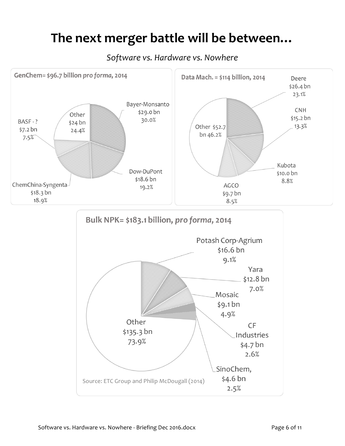## **The next merger battle will be between…**

*Software vs. Hardware vs. Nowhere*

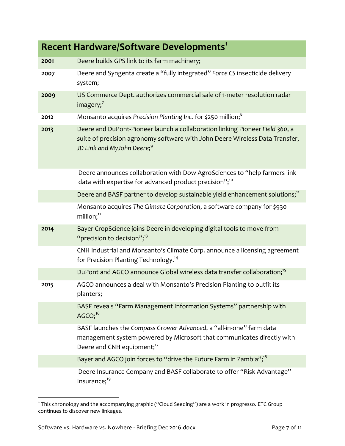| <b>Recent Hardware/Software Developments1</b> |                                                                                                                                                                                                        |  |
|-----------------------------------------------|--------------------------------------------------------------------------------------------------------------------------------------------------------------------------------------------------------|--|
| 2001                                          | Deere builds GPS link to its farm machinery;                                                                                                                                                           |  |
| 2007                                          | Deere and Syngenta create a "fully integrated" Force CS insecticide delivery<br>system;                                                                                                                |  |
| 2009                                          | US Commerce Dept. authorizes commercial sale of 1-meter resolution radar<br>imagery; $^7$                                                                                                              |  |
| 2012                                          | Monsanto acquires Precision Planting Inc. for \$250 million; <sup>8</sup>                                                                                                                              |  |
| 2013                                          | Deere and DuPont-Pioneer launch a collaboration linking Pioneer Field 360, a<br>suite of precision agronomy software with John Deere Wireless Data Transfer,<br>JD Link and MyJohn Deere; <sup>9</sup> |  |
|                                               | Deere announces collaboration with Dow AgroSciences to "help farmers link<br>data with expertise for advanced product precision"; <sup>10</sup>                                                        |  |
|                                               | Deere and BASF partner to develop sustainable yield enhancement solutions; <sup>11</sup>                                                                                                               |  |
|                                               | Monsanto acquires The Climate Corporation, a software company for \$930<br>million; <sup>12</sup>                                                                                                      |  |
| 2014                                          | Bayer CropScience joins Deere in developing digital tools to move from<br>"precision to decision"; $^{13}$                                                                                             |  |
|                                               | CNH Industrial and Monsanto's Climate Corp. announce a licensing agreement<br>for Precision Planting Technology. <sup>14</sup>                                                                         |  |
|                                               | DuPont and AGCO announce Global wireless data transfer collaboration; <sup>15</sup>                                                                                                                    |  |
| 2015                                          | AGCO announces a deal with Monsanto's Precision Planting to outfit its<br>planters;                                                                                                                    |  |
|                                               | BASF reveals "Farm Management Information Systems" partnership with<br>$AGCO;^{16}$                                                                                                                    |  |
|                                               | BASF launches the Compass Grower Advanced, a "all-in-one" farm data<br>management system powered by Microsoft that communicates directly with<br>Deere and CNH equipment; <sup>17</sup>                |  |
|                                               | Bayer and AGCO join forces to "drive the Future Farm in Zambia"; <sup>18</sup>                                                                                                                         |  |
|                                               | Deere Insurance Company and BASF collaborate to offer "Risk Advantage"<br>Insurance; <sup>19</sup>                                                                                                     |  |

 $^{\rm 1}$  This chronology and the accompanying graphic ("Cloud Seeding") are a work in progresso. ETC Group continues to discover new linkages.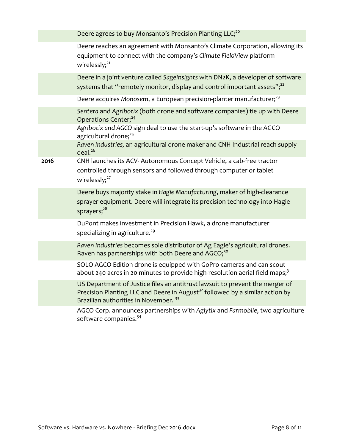|      | Deere agrees to buy Monsanto's Precision Planting LLC; <sup>20</sup>                                                                                                                                              |
|------|-------------------------------------------------------------------------------------------------------------------------------------------------------------------------------------------------------------------|
|      | Deere reaches an agreement with Monsanto's Climate Corporation, allowing its<br>equipment to connect with the company's Climate FieldView platform<br>wirelessly; <sup>21</sup>                                   |
|      | Deere in a joint venture called SageInsights with DN2K, a developer of software<br>systems that "remotely monitor, display and control important assets"; <sup>22</sup>                                           |
|      | Deere acquires Monosem, a European precision-planter manufacturer; <sup>23</sup>                                                                                                                                  |
|      | Sentera and Agribotix (both drone and software companies) tie up with Deere<br>Operations Center; <sup>24</sup>                                                                                                   |
|      | Agribotix and AGCO sign deal to use the start-up's software in the AGCO<br>agricultural drone; <sup>25</sup>                                                                                                      |
|      | Raven Industries, an agricultural drone maker and CNH Industrial reach supply<br>deal. <sup>26</sup>                                                                                                              |
| 2016 | CNH launches its ACV-Autonomous Concept Vehicle, a cab-free tractor<br>controlled through sensors and followed through computer or tablet<br>wirelessly; <sup>27</sup>                                            |
|      | Deere buys majority stake in Hagie Manufacturing, maker of high-clearance<br>sprayer equipment. Deere will integrate its precision technology into Hagie<br>sprayers; <sup>28</sup>                               |
|      | DuPont makes investment in Precision Hawk, a drone manufacturer<br>specializing in agriculture. <sup>29</sup>                                                                                                     |
|      | Raven Industries becomes sole distributor of Ag Eagle's agricultural drones.<br>Raven has partnerships with both Deere and AGCO; <sup>30</sup>                                                                    |
|      | SOLO AGCO Edition drone is equipped with GoPro cameras and can scout<br>about 240 acres in 20 minutes to provide high-resolution aerial field maps; <sup>31</sup>                                                 |
|      | US Department of Justice files an antitrust lawsuit to prevent the merger of<br>Precision Planting LLC and Deere in August <sup>32</sup> followed by a similar action by<br>Brazilian authorities in November. 33 |
|      | AGCO Corp. announces partnerships with Aglytix and Farmobile, two agriculture<br>software companies. <sup>34</sup>                                                                                                |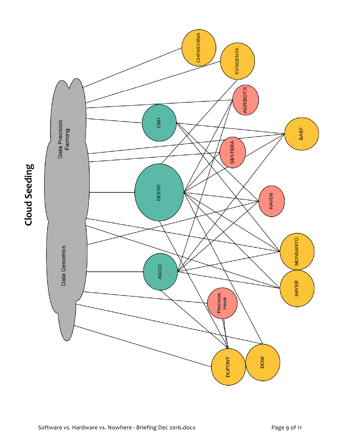

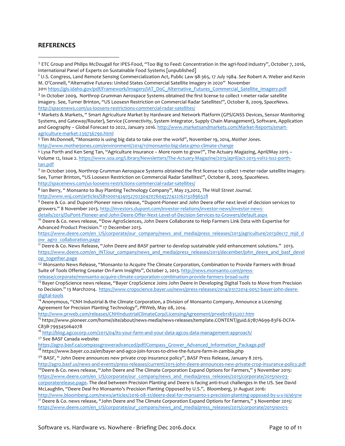## **REFERENCES**

<u> 1989 - Johann Barn, mars ann an t-Amhain an t-Amhain an t-Amhain an t-Amhain an t-Amhain an t-Amhain an t-Amh</u>

2011 https://gis.idaho.gov/pdf/Framework/Imagery/IAT\_DoC\_Alternative\_Futures\_Commercial\_Satellite\_Imagery.pdf  $3$  In October 2009, Northrop Grumman Aerospace Systems obtained the first license to collect 1-meter radar satellite imagery. See, Turner Brinton, "US Loosesn Restriction on Commercial Radar Satellites!", October 8, 2009, *SpaceNews.*  http://spacenews.com/us-loosens-restrictions-commercial-radar-satellites/

<sup>4</sup> Markets & Markets, " Smart Agriculture Market by Hardware and Network Platform (GPS/GNSS Devices, Sensor Monitoring Systems, and Gateway/Router), Service (Connectivity, System Integrator, Supply Chain Management), Software, Application and Geography - Global Forecast to 2022, January 2016. http://www.marketsandmarkets.com/Market-Reports/smartagriculture-market-239736790.html

<sup>5</sup> Tim McDonnell, "Monsanto is using big data to take over the world", November 19, 2014, *Mother Jones*. http://www.motherjones.com/environment/2014/11/monsanto-big-data-gmo-climate-change

<sup>6</sup> Lysa Porth and Ken Seng Tan, "Agriculture Insurance – More room to grow?", The Actuary Magazing, April/May 2015 – Volume 12, Issue 2. https://www.soa.org/Library/Newsletters/The-Actuary-Magazine/2015/april/act-2015-vol12-iss2-porthtan.pdf

<sup>7</sup> In October 2009, Northrop Grumman Aerospace Systems obtained the first license to collect 1-meter radar satellite imagery. See, Turner Brinton, "US Loosesn Restriction on Commercial Radar Satellites!", October 8, 2009, *SpaceNews*. http://spacenews.com/us-loosens-restrictions-commercial-radar-satellites/

<sup>8</sup> Ian Berry, " Monsanto to Buy Planting Technology Company", May 23,2012, *The Wall Street Journal*. http://www.wsj.com/articles/SB10001424052702304707604577422162132896528

 $9$  Deere & Co. and Dupont-Pioneer news release, "Dupont-Pioneer and John Deere offer next level of decision services to growers." 8 November 2013. http://investors.dupont.com/investor-relations/investor-news/investor-newsdetails/2013/DuPont-Pioneer-and-John-Deere-Offer-Next-Level-of-Decision-Services-to-Growers/default.aspx

<sup>10</sup> Deere & Co. news release, "Dow AgroSciences, John Deere Collaborate to Help Farmers Link Data with Expertise for Advanced Product Precision." 17 December 2013.

https://www.deere.com/en\_US/corporate/our\_company/news\_and\_media/press\_releases/2013/agriculture/2013dec17\_mjd\_d ow\_agro\_collaboration.page

<sup>11</sup> Deere & Co. News Release, "John Deere and BASF partner to develop sustainable yield enhancement solutions." 2013. https://www.deere.com/en\_INT/our\_company/news\_and\_media/press\_releases/2013/december/john\_deere\_and\_basf\_devel op\_together.page

<sup>12</sup> Monsanto News Release, "Monsanto to Acquire The Climate Corporation, Combination to Provide Farmers with Broad Suite of Tools Offering Greater On-Farm Insights", October 2, 2013. http://news.monsanto.com/pressrelease/corporate/monsanto-acquire-climate-corporation-combination-provide-farmers-broad-suite

<sup>13</sup> Bayer CropScience news release, "Bayer CropScience Joins John Deere in Developing Digital Tools to Move from Precision to Decision." 13 March2014. https://www.cropscience.bayer.us/news/press-releases/2014/03172014-0057-bayer-john-deeredigital-tools

<sup>14</sup> Anonymous, "CNH Industrial & the Climate Corporation, a Division of Monsanto Company, Announce a Licensing Agreement for Precision Planting Technology", *PRWeb*, May 08, 2014.

http://www.prweb.com/releases/CNHIndustrialClimateCorp/LicensingAgreement/prweb11835207.htm

<sup>15</sup> https://www.pioneer.com/home/site/about/news-media/news-releases/template.CONTENT/guid.67B7A699-83F6-DCFA-C83B-799345064078

<sup>16</sup> http://blog.agcocorp.com/2015/04/its-your-farm-and-your-data-agcos-data-management-approach/

<sup>17</sup> See BASF Canada website:

https://agro.basf.ca/compassgroweradvanced/pdf/Compass\_Grower\_Advanced\_Information\_Package.pdf

<sup>18</sup> https://www.bayer.co.za/en/bayer-and-agco-join-forces-to-drive-the-future-farm-in-zambia.php

<sup>19</sup> BASF, "John Deere announces new private crop insurance policy", BASF Press Release, January 8 2015.

http://agro.basf.us/news-and-events/press-releases/current/2015-john-deere-announces-new-private-crop-insurance-policy.pdf <sup>20</sup>Deere & Co. news release, "John Deere and The Climate Corporation Expand Options for Farmers," 3 November 2015:

https://www.deere.com/en\_US/corporate/our\_company/news\_and\_media/press\_releases/2015/corporate/2015nov03corporaterelease.page. The deal between Precision Planting and Deere is facing anti-trust challenges in the US. See David

McLaughlin, "Deere Deal fro Monsanto's Precision Planting Opposed by U.S.", Bloomberg, 31 August 2016: http://www.bloomberg.com/news/articles/2016-08-31/deere-deal-for-monsanto-s-precision-planting-opposed-by-u-s-isj365rw

<sup>21</sup> Deere & Co. news release, "John Deere and The Climate Corporation Expand Options for Farmers," 3 November 2015: https://www.deere.com/en\_US/corporate/our\_company/news\_and\_media/press\_releases/2015/corporate/2015nov03-

<sup>1</sup> ETC Group and Philips McDougall for IPES-Food, "Too Big to Feed: Concentration in the agri-food industry", October 7, 2016, International Panel of Experts on Sustainable Food Systems [unpublished]

<sup>2</sup> U.S. Congress, Land Remote Sensing Commercialization Act, Public Law 98-365, 17 July 1984. *See* Robert A. Weber and Kevin M. O'Connell, "Alternative Futures: United States Commercial Satellite Imagery in 2020" November